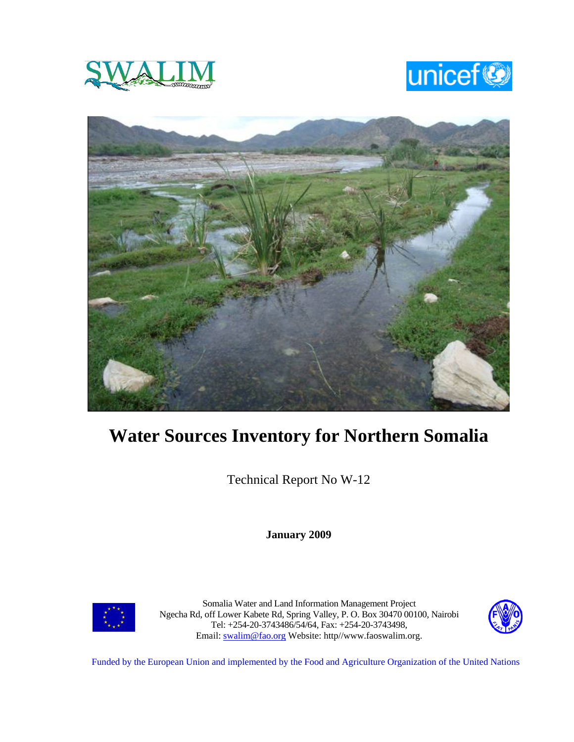





# **Water Sources Inventory for Northern Somalia**

Technical Report No W-12

**January 2009** 



Somalia Water and Land Information Management Project Ngecha Rd, off Lower Kabete Rd, Spring Valley, P. O. Box 30470 00100, Nairobi Tel: +254-20-3743486/54/64, Fax: +254-20-3743498, Email: swalim@fao.org Website: http//www.faoswalim.org.



Funded by the European Union and implemented by the Food and Agriculture Organization of the United Nations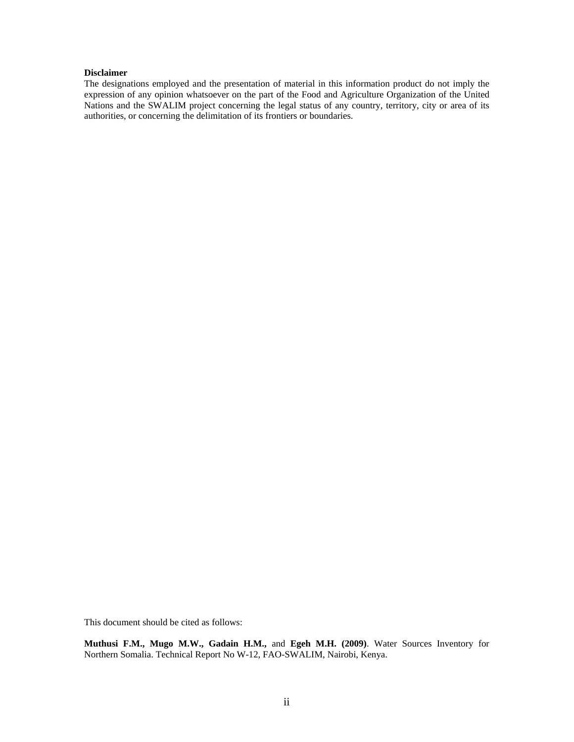#### **Disclaimer**

The designations employed and the presentation of material in this information product do not imply the expression of any opinion whatsoever on the part of the Food and Agriculture Organization of the United Nations and the SWALIM project concerning the legal status of any country, territory, city or area of its authorities, or concerning the delimitation of its frontiers or boundaries.

This document should be cited as follows:

**Muthusi F.M., Mugo M.W., Gadain H.M.,** and **Egeh M.H. (2009)**. Water Sources Inventory for Northern Somalia. Technical Report No W-12, FAO-SWALIM, Nairobi, Kenya.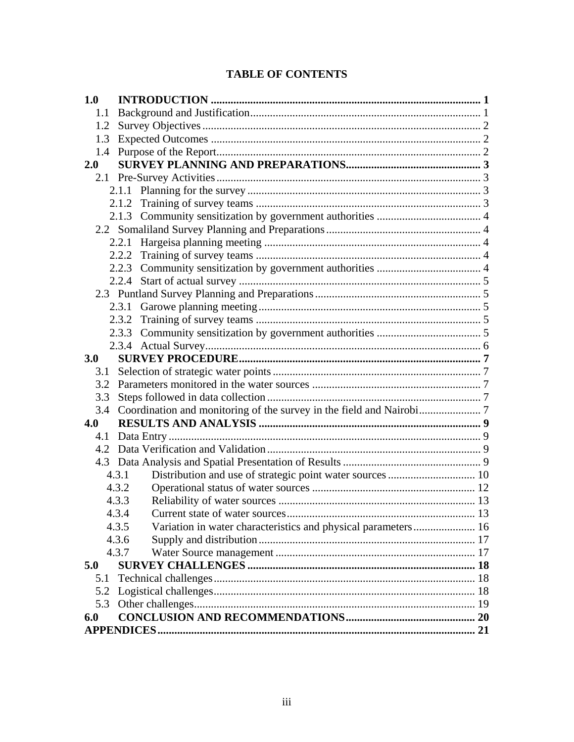# **TABLE OF CONTENTS**

| 1.0                                                                    |  |
|------------------------------------------------------------------------|--|
| 1.1                                                                    |  |
| 1.2                                                                    |  |
| 1.3                                                                    |  |
| 1.4                                                                    |  |
| 2.0                                                                    |  |
|                                                                        |  |
|                                                                        |  |
|                                                                        |  |
|                                                                        |  |
|                                                                        |  |
|                                                                        |  |
|                                                                        |  |
|                                                                        |  |
|                                                                        |  |
|                                                                        |  |
|                                                                        |  |
| 2.3.2                                                                  |  |
|                                                                        |  |
|                                                                        |  |
| 3.0                                                                    |  |
| 3.1                                                                    |  |
|                                                                        |  |
| 3.3                                                                    |  |
| 3.4                                                                    |  |
| 4.0                                                                    |  |
|                                                                        |  |
|                                                                        |  |
|                                                                        |  |
| 4.3.1                                                                  |  |
| 4.3.2                                                                  |  |
| 4.3.3                                                                  |  |
| 4.3.4                                                                  |  |
| 4.3.5<br>Variation in water characteristics and physical parameters 16 |  |
| 4.3.6                                                                  |  |
| 4.3.7                                                                  |  |
| 5.0                                                                    |  |
| 5.1                                                                    |  |
| 5.2                                                                    |  |
| 5.3                                                                    |  |
| 6.0                                                                    |  |
|                                                                        |  |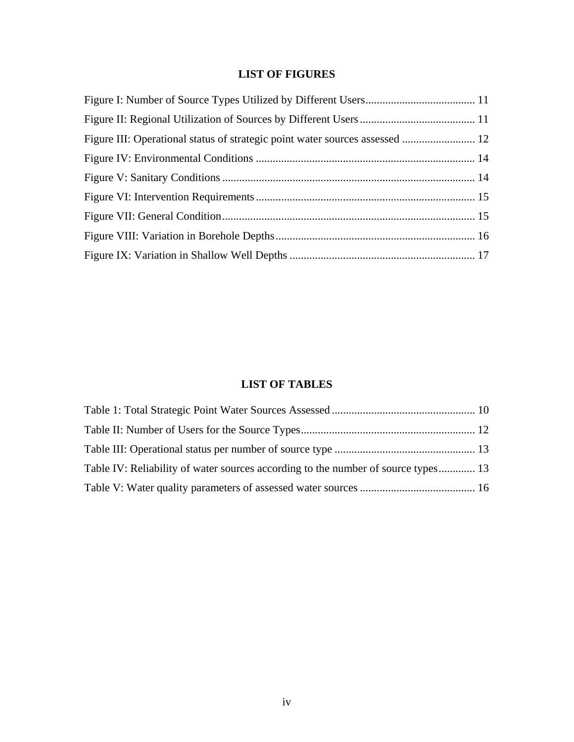## **LIST OF FIGURES**

## **LIST OF TABLES**

| Table IV: Reliability of water sources according to the number of source types 13 |  |
|-----------------------------------------------------------------------------------|--|
|                                                                                   |  |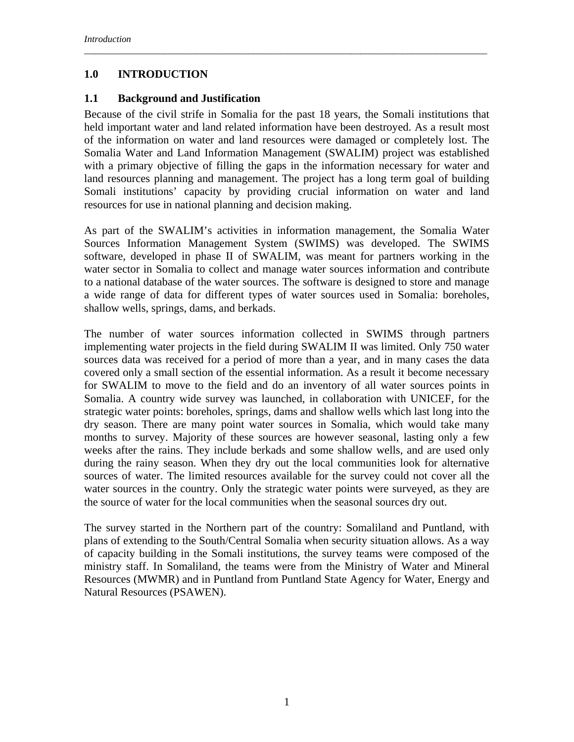## **1.0 INTRODUCTION**

#### **1.1 Background and Justification**

Because of the civil strife in Somalia for the past 18 years, the Somali institutions that held important water and land related information have been destroyed. As a result most of the information on water and land resources were damaged or completely lost. The Somalia Water and Land Information Management (SWALIM) project was established with a primary objective of filling the gaps in the information necessary for water and land resources planning and management. The project has a long term goal of building Somali institutions' capacity by providing crucial information on water and land resources for use in national planning and decision making.

*\_\_\_\_\_\_\_\_\_\_\_\_\_\_\_\_\_\_\_\_\_\_\_\_\_\_\_\_\_\_\_\_\_\_\_\_\_\_\_\_\_\_\_\_\_\_\_\_\_\_\_\_\_\_\_\_\_\_\_\_\_\_\_\_\_\_\_\_\_\_\_\_\_\_\_\_\_\_\_\_\_\_\_\_\_\_* 

As part of the SWALIM's activities in information management, the Somalia Water Sources Information Management System (SWIMS) was developed. The SWIMS software, developed in phase II of SWALIM, was meant for partners working in the water sector in Somalia to collect and manage water sources information and contribute to a national database of the water sources. The software is designed to store and manage a wide range of data for different types of water sources used in Somalia: boreholes, shallow wells, springs, dams, and berkads.

The number of water sources information collected in SWIMS through partners implementing water projects in the field during SWALIM II was limited. Only 750 water sources data was received for a period of more than a year, and in many cases the data covered only a small section of the essential information. As a result it become necessary for SWALIM to move to the field and do an inventory of all water sources points in Somalia. A country wide survey was launched, in collaboration with UNICEF, for the strategic water points: boreholes, springs, dams and shallow wells which last long into the dry season. There are many point water sources in Somalia, which would take many months to survey. Majority of these sources are however seasonal, lasting only a few weeks after the rains. They include berkads and some shallow wells, and are used only during the rainy season. When they dry out the local communities look for alternative sources of water. The limited resources available for the survey could not cover all the water sources in the country. Only the strategic water points were surveyed, as they are the source of water for the local communities when the seasonal sources dry out.

The survey started in the Northern part of the country: Somaliland and Puntland, with plans of extending to the South/Central Somalia when security situation allows. As a way of capacity building in the Somali institutions, the survey teams were composed of the ministry staff. In Somaliland, the teams were from the Ministry of Water and Mineral Resources (MWMR) and in Puntland from Puntland State Agency for Water, Energy and Natural Resources (PSAWEN).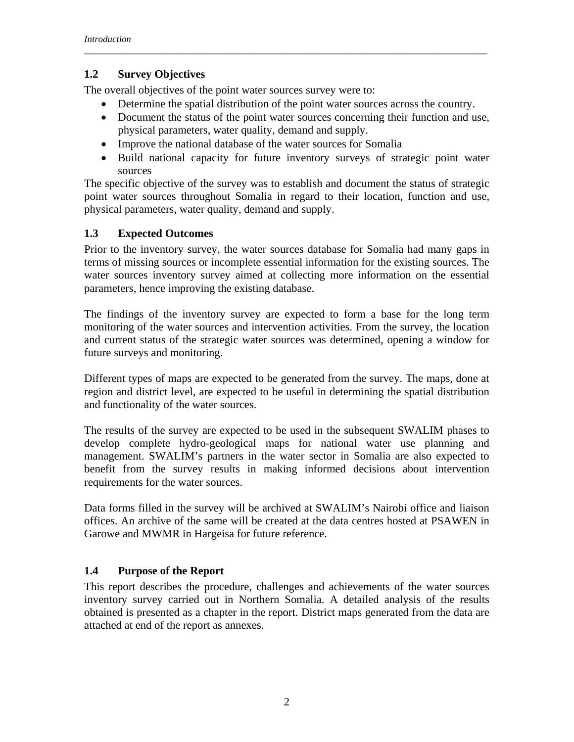## **1.2 Survey Objectives**

The overall objectives of the point water sources survey were to:

• Determine the spatial distribution of the point water sources across the country.

*\_\_\_\_\_\_\_\_\_\_\_\_\_\_\_\_\_\_\_\_\_\_\_\_\_\_\_\_\_\_\_\_\_\_\_\_\_\_\_\_\_\_\_\_\_\_\_\_\_\_\_\_\_\_\_\_\_\_\_\_\_\_\_\_\_\_\_\_\_\_\_\_\_\_\_\_\_\_\_\_\_\_\_\_\_\_* 

- Document the status of the point water sources concerning their function and use, physical parameters, water quality, demand and supply.
- Improve the national database of the water sources for Somalia
- Build national capacity for future inventory surveys of strategic point water sources

The specific objective of the survey was to establish and document the status of strategic point water sources throughout Somalia in regard to their location, function and use, physical parameters, water quality, demand and supply.

## **1.3 Expected Outcomes**

Prior to the inventory survey, the water sources database for Somalia had many gaps in terms of missing sources or incomplete essential information for the existing sources. The water sources inventory survey aimed at collecting more information on the essential parameters, hence improving the existing database.

The findings of the inventory survey are expected to form a base for the long term monitoring of the water sources and intervention activities. From the survey, the location and current status of the strategic water sources was determined, opening a window for future surveys and monitoring.

Different types of maps are expected to be generated from the survey. The maps, done at region and district level, are expected to be useful in determining the spatial distribution and functionality of the water sources.

The results of the survey are expected to be used in the subsequent SWALIM phases to develop complete hydro-geological maps for national water use planning and management. SWALIM's partners in the water sector in Somalia are also expected to benefit from the survey results in making informed decisions about intervention requirements for the water sources.

Data forms filled in the survey will be archived at SWALIM's Nairobi office and liaison offices. An archive of the same will be created at the data centres hosted at PSAWEN in Garowe and MWMR in Hargeisa for future reference.

## **1.4 Purpose of the Report**

This report describes the procedure, challenges and achievements of the water sources inventory survey carried out in Northern Somalia. A detailed analysis of the results obtained is presented as a chapter in the report. District maps generated from the data are attached at end of the report as annexes.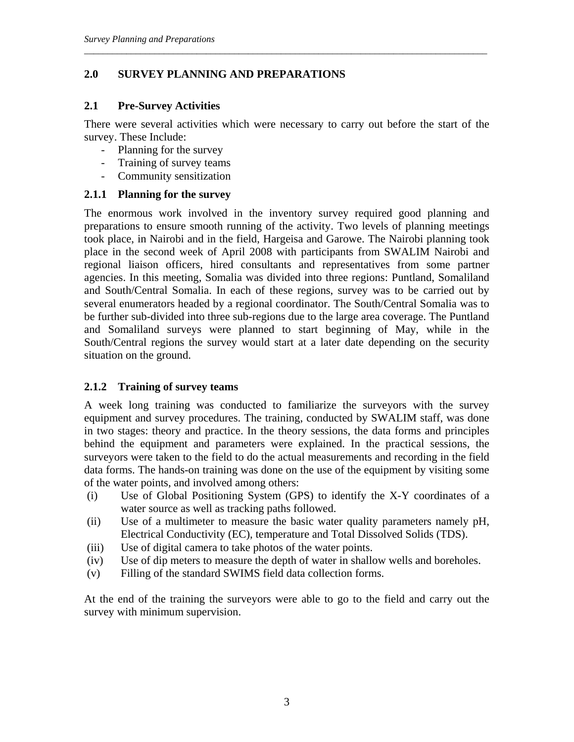## **2.0 SURVEY PLANNING AND PREPARATIONS**

#### **2.1 Pre-Survey Activities**

There were several activities which were necessary to carry out before the start of the survey. These Include:

*\_\_\_\_\_\_\_\_\_\_\_\_\_\_\_\_\_\_\_\_\_\_\_\_\_\_\_\_\_\_\_\_\_\_\_\_\_\_\_\_\_\_\_\_\_\_\_\_\_\_\_\_\_\_\_\_\_\_\_\_\_\_\_\_\_\_\_\_\_\_\_\_\_\_\_\_\_\_\_\_\_\_\_\_\_\_* 

- Planning for the survey
- Training of survey teams
- Community sensitization

#### **2.1.1 Planning for the survey**

The enormous work involved in the inventory survey required good planning and preparations to ensure smooth running of the activity. Two levels of planning meetings took place, in Nairobi and in the field, Hargeisa and Garowe. The Nairobi planning took place in the second week of April 2008 with participants from SWALIM Nairobi and regional liaison officers, hired consultants and representatives from some partner agencies. In this meeting, Somalia was divided into three regions: Puntland, Somaliland and South/Central Somalia. In each of these regions, survey was to be carried out by several enumerators headed by a regional coordinator. The South/Central Somalia was to be further sub-divided into three sub-regions due to the large area coverage. The Puntland and Somaliland surveys were planned to start beginning of May, while in the South/Central regions the survey would start at a later date depending on the security situation on the ground.

## **2.1.2 Training of survey teams**

A week long training was conducted to familiarize the surveyors with the survey equipment and survey procedures. The training, conducted by SWALIM staff, was done in two stages: theory and practice. In the theory sessions, the data forms and principles behind the equipment and parameters were explained. In the practical sessions, the surveyors were taken to the field to do the actual measurements and recording in the field data forms. The hands-on training was done on the use of the equipment by visiting some of the water points, and involved among others:

- (i) Use of Global Positioning System (GPS) to identify the X-Y coordinates of a water source as well as tracking paths followed.
- (ii) Use of a multimeter to measure the basic water quality parameters namely pH, Electrical Conductivity (EC), temperature and Total Dissolved Solids (TDS).
- (iii) Use of digital camera to take photos of the water points.
- (iv) Use of dip meters to measure the depth of water in shallow wells and boreholes.
- (v) Filling of the standard SWIMS field data collection forms.

At the end of the training the surveyors were able to go to the field and carry out the survey with minimum supervision.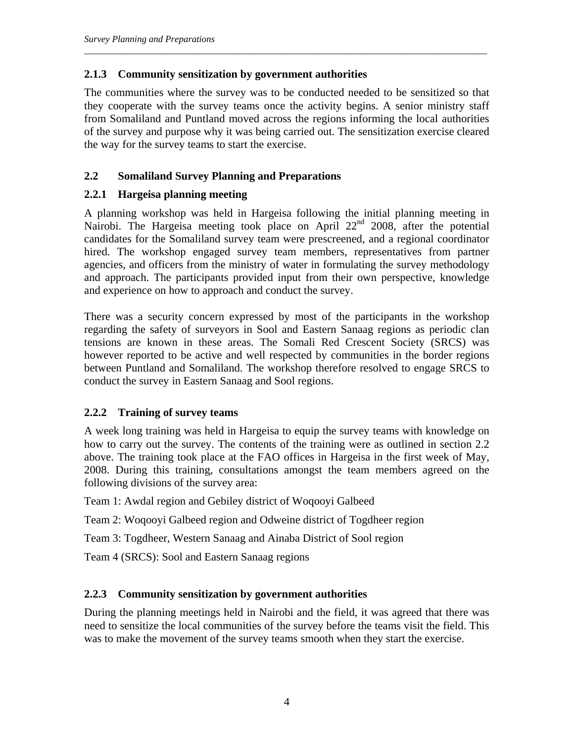## **2.1.3 Community sensitization by government authorities**

The communities where the survey was to be conducted needed to be sensitized so that they cooperate with the survey teams once the activity begins. A senior ministry staff from Somaliland and Puntland moved across the regions informing the local authorities of the survey and purpose why it was being carried out. The sensitization exercise cleared the way for the survey teams to start the exercise.

*\_\_\_\_\_\_\_\_\_\_\_\_\_\_\_\_\_\_\_\_\_\_\_\_\_\_\_\_\_\_\_\_\_\_\_\_\_\_\_\_\_\_\_\_\_\_\_\_\_\_\_\_\_\_\_\_\_\_\_\_\_\_\_\_\_\_\_\_\_\_\_\_\_\_\_\_\_\_\_\_\_\_\_\_\_\_* 

## **2.2 Somaliland Survey Planning and Preparations**

## **2.2.1 Hargeisa planning meeting**

A planning workshop was held in Hargeisa following the initial planning meeting in Nairobi. The Hargeisa meeting took place on April 22<sup>nd</sup> 2008, after the potential candidates for the Somaliland survey team were prescreened, and a regional coordinator hired. The workshop engaged survey team members, representatives from partner agencies, and officers from the ministry of water in formulating the survey methodology and approach. The participants provided input from their own perspective, knowledge and experience on how to approach and conduct the survey.

There was a security concern expressed by most of the participants in the workshop regarding the safety of surveyors in Sool and Eastern Sanaag regions as periodic clan tensions are known in these areas. The Somali Red Crescent Society (SRCS) was however reported to be active and well respected by communities in the border regions between Puntland and Somaliland. The workshop therefore resolved to engage SRCS to conduct the survey in Eastern Sanaag and Sool regions.

## **2.2.2 Training of survey teams**

A week long training was held in Hargeisa to equip the survey teams with knowledge on how to carry out the survey. The contents of the training were as outlined in section 2.2 above. The training took place at the FAO offices in Hargeisa in the first week of May, 2008. During this training, consultations amongst the team members agreed on the following divisions of the survey area:

Team 1: Awdal region and Gebiley district of Woqooyi Galbeed

Team 2: Woqooyi Galbeed region and Odweine district of Togdheer region

Team 3: Togdheer, Western Sanaag and Ainaba District of Sool region

Team 4 (SRCS): Sool and Eastern Sanaag regions

## **2.2.3 Community sensitization by government authorities**

During the planning meetings held in Nairobi and the field, it was agreed that there was need to sensitize the local communities of the survey before the teams visit the field. This was to make the movement of the survey teams smooth when they start the exercise.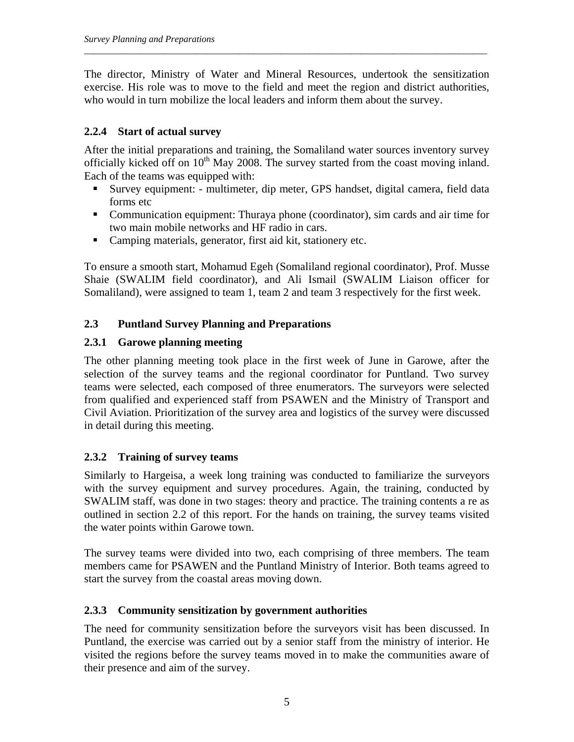The director, Ministry of Water and Mineral Resources, undertook the sensitization exercise. His role was to move to the field and meet the region and district authorities, who would in turn mobilize the local leaders and inform them about the survey.

*\_\_\_\_\_\_\_\_\_\_\_\_\_\_\_\_\_\_\_\_\_\_\_\_\_\_\_\_\_\_\_\_\_\_\_\_\_\_\_\_\_\_\_\_\_\_\_\_\_\_\_\_\_\_\_\_\_\_\_\_\_\_\_\_\_\_\_\_\_\_\_\_\_\_\_\_\_\_\_\_\_\_\_\_\_\_* 

## **2.2.4 Start of actual survey**

After the initial preparations and training, the Somaliland water sources inventory survey officially kicked off on  $10<sup>th</sup>$  May 2008. The survey started from the coast moving inland. Each of the teams was equipped with:

- Survey equipment: multimeter, dip meter, GPS handset, digital camera, field data forms etc
- Communication equipment: Thuraya phone (coordinator), sim cards and air time for two main mobile networks and HF radio in cars.
- Camping materials, generator, first aid kit, stationery etc.

To ensure a smooth start, Mohamud Egeh (Somaliland regional coordinator), Prof. Musse Shaie (SWALIM field coordinator), and Ali Ismail (SWALIM Liaison officer for Somaliland), were assigned to team 1, team 2 and team 3 respectively for the first week.

## **2.3 Puntland Survey Planning and Preparations**

## **2.3.1 Garowe planning meeting**

The other planning meeting took place in the first week of June in Garowe, after the selection of the survey teams and the regional coordinator for Puntland. Two survey teams were selected, each composed of three enumerators. The surveyors were selected from qualified and experienced staff from PSAWEN and the Ministry of Transport and Civil Aviation. Prioritization of the survey area and logistics of the survey were discussed in detail during this meeting.

## **2.3.2 Training of survey teams**

Similarly to Hargeisa, a week long training was conducted to familiarize the surveyors with the survey equipment and survey procedures. Again, the training, conducted by SWALIM staff, was done in two stages: theory and practice. The training contents a re as outlined in section 2.2 of this report. For the hands on training, the survey teams visited the water points within Garowe town.

The survey teams were divided into two, each comprising of three members. The team members came for PSAWEN and the Puntland Ministry of Interior. Both teams agreed to start the survey from the coastal areas moving down.

## **2.3.3 Community sensitization by government authorities**

The need for community sensitization before the surveyors visit has been discussed. In Puntland, the exercise was carried out by a senior staff from the ministry of interior. He visited the regions before the survey teams moved in to make the communities aware of their presence and aim of the survey.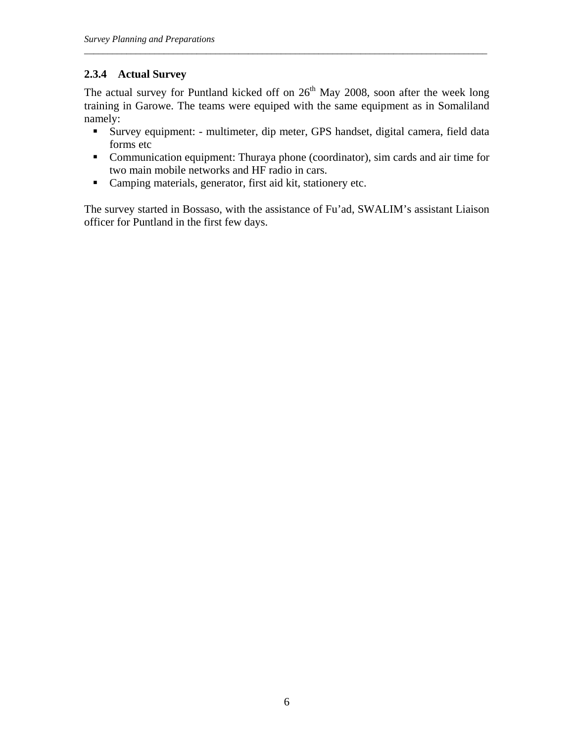## **2.3.4 Actual Survey**

The actual survey for Puntland kicked off on  $26<sup>th</sup>$  May 2008, soon after the week long training in Garowe. The teams were equiped with the same equipment as in Somaliland namely:

*\_\_\_\_\_\_\_\_\_\_\_\_\_\_\_\_\_\_\_\_\_\_\_\_\_\_\_\_\_\_\_\_\_\_\_\_\_\_\_\_\_\_\_\_\_\_\_\_\_\_\_\_\_\_\_\_\_\_\_\_\_\_\_\_\_\_\_\_\_\_\_\_\_\_\_\_\_\_\_\_\_\_\_\_\_\_* 

- Survey equipment: multimeter, dip meter, GPS handset, digital camera, field data forms etc
- Communication equipment: Thuraya phone (coordinator), sim cards and air time for two main mobile networks and HF radio in cars.
- Camping materials, generator, first aid kit, stationery etc.

The survey started in Bossaso, with the assistance of Fu'ad, SWALIM's assistant Liaison officer for Puntland in the first few days.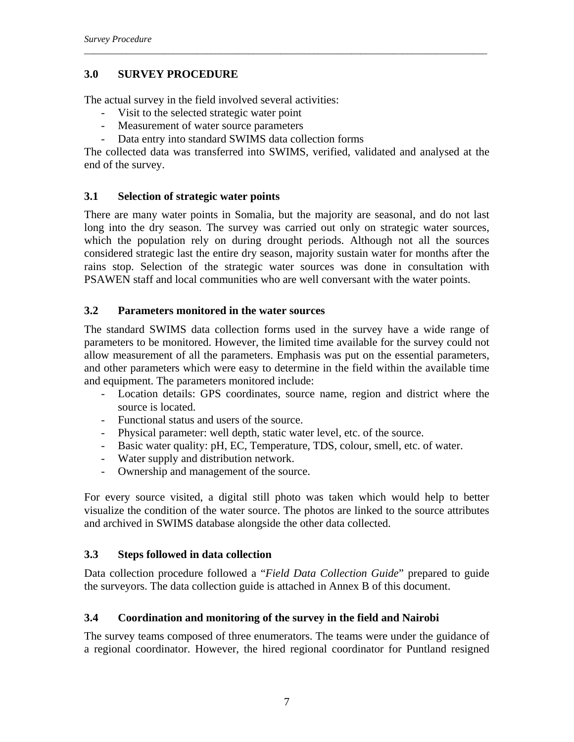## **3.0 SURVEY PROCEDURE**

The actual survey in the field involved several activities:

- Visit to the selected strategic water point
- Measurement of water source parameters
- Data entry into standard SWIMS data collection forms

The collected data was transferred into SWIMS, verified, validated and analysed at the end of the survey.

*\_\_\_\_\_\_\_\_\_\_\_\_\_\_\_\_\_\_\_\_\_\_\_\_\_\_\_\_\_\_\_\_\_\_\_\_\_\_\_\_\_\_\_\_\_\_\_\_\_\_\_\_\_\_\_\_\_\_\_\_\_\_\_\_\_\_\_\_\_\_\_\_\_\_\_\_\_\_\_\_\_\_\_\_\_\_* 

## **3.1 Selection of strategic water points**

There are many water points in Somalia, but the majority are seasonal, and do not last long into the dry season. The survey was carried out only on strategic water sources, which the population rely on during drought periods. Although not all the sources considered strategic last the entire dry season, majority sustain water for months after the rains stop. Selection of the strategic water sources was done in consultation with PSAWEN staff and local communities who are well conversant with the water points.

## **3.2 Parameters monitored in the water sources**

The standard SWIMS data collection forms used in the survey have a wide range of parameters to be monitored. However, the limited time available for the survey could not allow measurement of all the parameters. Emphasis was put on the essential parameters, and other parameters which were easy to determine in the field within the available time and equipment. The parameters monitored include:

- Location details: GPS coordinates, source name, region and district where the source is located.
- Functional status and users of the source.
- Physical parameter: well depth, static water level, etc. of the source.
- Basic water quality: pH, EC, Temperature, TDS, colour, smell, etc. of water.
- Water supply and distribution network.
- Ownership and management of the source.

For every source visited, a digital still photo was taken which would help to better visualize the condition of the water source. The photos are linked to the source attributes and archived in SWIMS database alongside the other data collected.

## **3.3 Steps followed in data collection**

Data collection procedure followed a "*Field Data Collection Guide*" prepared to guide the surveyors. The data collection guide is attached in Annex B of this document.

## **3.4 Coordination and monitoring of the survey in the field and Nairobi**

The survey teams composed of three enumerators. The teams were under the guidance of a regional coordinator. However, the hired regional coordinator for Puntland resigned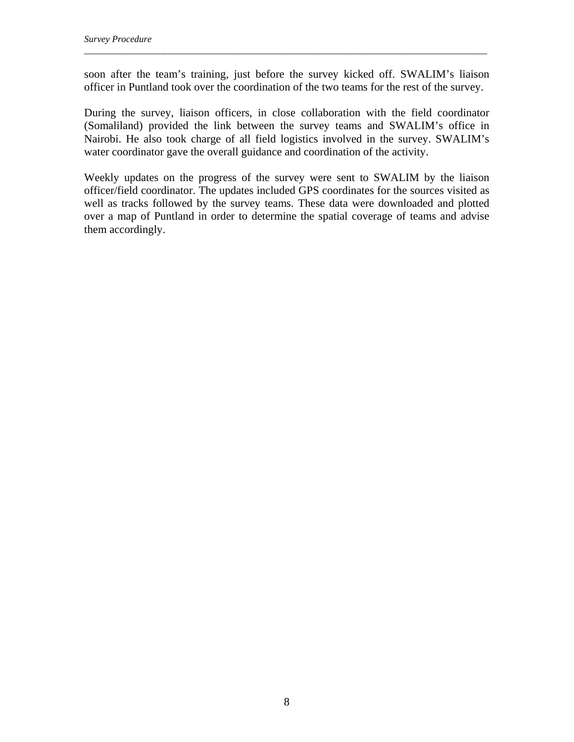soon after the team's training, just before the survey kicked off. SWALIM's liaison officer in Puntland took over the coordination of the two teams for the rest of the survey.

*\_\_\_\_\_\_\_\_\_\_\_\_\_\_\_\_\_\_\_\_\_\_\_\_\_\_\_\_\_\_\_\_\_\_\_\_\_\_\_\_\_\_\_\_\_\_\_\_\_\_\_\_\_\_\_\_\_\_\_\_\_\_\_\_\_\_\_\_\_\_\_\_\_\_\_\_\_\_\_\_\_\_\_\_\_\_* 

During the survey, liaison officers, in close collaboration with the field coordinator (Somaliland) provided the link between the survey teams and SWALIM's office in Nairobi. He also took charge of all field logistics involved in the survey. SWALIM's water coordinator gave the overall guidance and coordination of the activity.

Weekly updates on the progress of the survey were sent to SWALIM by the liaison officer/field coordinator. The updates included GPS coordinates for the sources visited as well as tracks followed by the survey teams. These data were downloaded and plotted over a map of Puntland in order to determine the spatial coverage of teams and advise them accordingly.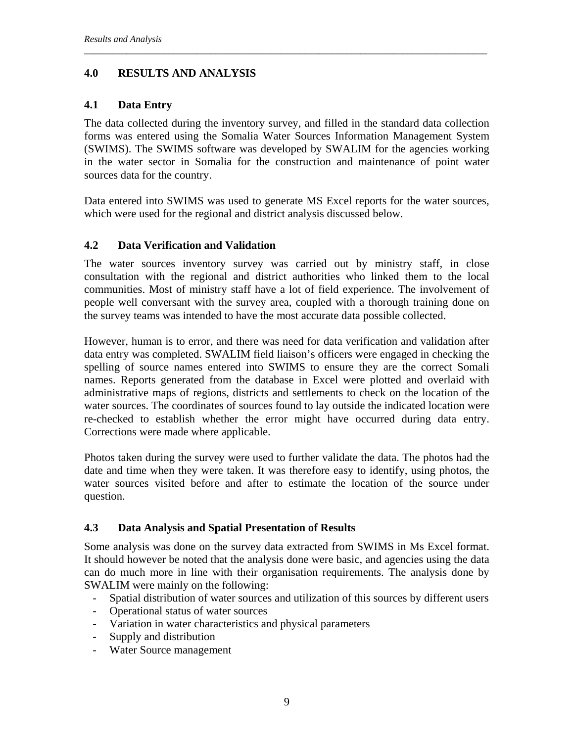## **4.0 RESULTS AND ANALYSIS**

#### **4.1 Data Entry**

The data collected during the inventory survey, and filled in the standard data collection forms was entered using the Somalia Water Sources Information Management System (SWIMS). The SWIMS software was developed by SWALIM for the agencies working in the water sector in Somalia for the construction and maintenance of point water sources data for the country.

*\_\_\_\_\_\_\_\_\_\_\_\_\_\_\_\_\_\_\_\_\_\_\_\_\_\_\_\_\_\_\_\_\_\_\_\_\_\_\_\_\_\_\_\_\_\_\_\_\_\_\_\_\_\_\_\_\_\_\_\_\_\_\_\_\_\_\_\_\_\_\_\_\_\_\_\_\_\_\_\_\_\_\_\_\_\_* 

Data entered into SWIMS was used to generate MS Excel reports for the water sources, which were used for the regional and district analysis discussed below.

#### **4.2 Data Verification and Validation**

The water sources inventory survey was carried out by ministry staff, in close consultation with the regional and district authorities who linked them to the local communities. Most of ministry staff have a lot of field experience. The involvement of people well conversant with the survey area, coupled with a thorough training done on the survey teams was intended to have the most accurate data possible collected.

However, human is to error, and there was need for data verification and validation after data entry was completed. SWALIM field liaison's officers were engaged in checking the spelling of source names entered into SWIMS to ensure they are the correct Somali names. Reports generated from the database in Excel were plotted and overlaid with administrative maps of regions, districts and settlements to check on the location of the water sources. The coordinates of sources found to lay outside the indicated location were re-checked to establish whether the error might have occurred during data entry. Corrections were made where applicable.

Photos taken during the survey were used to further validate the data. The photos had the date and time when they were taken. It was therefore easy to identify, using photos, the water sources visited before and after to estimate the location of the source under question.

## **4.3 Data Analysis and Spatial Presentation of Results**

Some analysis was done on the survey data extracted from SWIMS in Ms Excel format. It should however be noted that the analysis done were basic, and agencies using the data can do much more in line with their organisation requirements. The analysis done by SWALIM were mainly on the following:

- Spatial distribution of water sources and utilization of this sources by different users
- Operational status of water sources
- Variation in water characteristics and physical parameters
- Supply and distribution
- Water Source management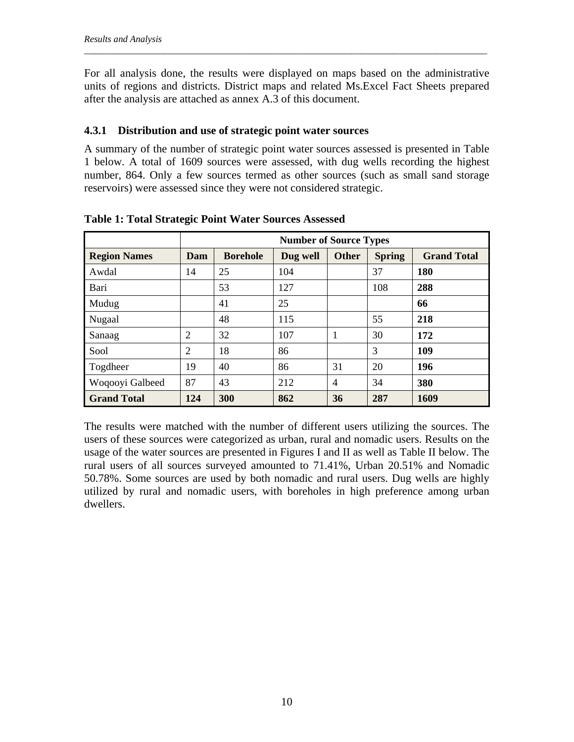For all analysis done, the results were displayed on maps based on the administrative units of regions and districts. District maps and related Ms.Excel Fact Sheets prepared after the analysis are attached as annex A.3 of this document.

*\_\_\_\_\_\_\_\_\_\_\_\_\_\_\_\_\_\_\_\_\_\_\_\_\_\_\_\_\_\_\_\_\_\_\_\_\_\_\_\_\_\_\_\_\_\_\_\_\_\_\_\_\_\_\_\_\_\_\_\_\_\_\_\_\_\_\_\_\_\_\_\_\_\_\_\_\_\_\_\_\_\_\_\_\_\_* 

#### **4.3.1 Distribution and use of strategic point water sources**

A summary of the number of strategic point water sources assessed is presented in Table 1 below. A total of 1609 sources were assessed, with dug wells recording the highest number, 864. Only a few sources termed as other sources (such as small sand storage reservoirs) were assessed since they were not considered strategic.

|                     | <b>Number of Source Types</b> |                 |          |              |               |                    |  |  |  |
|---------------------|-------------------------------|-----------------|----------|--------------|---------------|--------------------|--|--|--|
| <b>Region Names</b> | Dam                           | <b>Borehole</b> | Dug well | <b>Other</b> | <b>Spring</b> | <b>Grand Total</b> |  |  |  |
| Awdal               | 14                            | 25              | 104      |              | 37            | <b>180</b>         |  |  |  |
| Bari                |                               | 53              | 127      |              | 108           | 288                |  |  |  |
| Mudug               |                               | 41              | 25       |              |               | 66                 |  |  |  |
| Nugaal              |                               | 48              | 115      |              | 55            | 218                |  |  |  |
| Sanaag              | $\overline{2}$                | 32              | 107      | 1            | 30            | 172                |  |  |  |
| Sool                | $\overline{2}$                | 18              | 86       |              | 3             | 109                |  |  |  |
| Togdheer            | 19                            | 40              | 86       | 31           | 20            | 196                |  |  |  |
| Woqooyi Galbeed     | 87                            | 43              | 212      | 4            | 34            | 380                |  |  |  |
| <b>Grand Total</b>  | 124                           | 300             | 862      | 36           | 287           | 1609               |  |  |  |

**Table 1: Total Strategic Point Water Sources Assessed** 

The results were matched with the number of different users utilizing the sources. The users of these sources were categorized as urban, rural and nomadic users. Results on the usage of the water sources are presented in Figures I and II as well as Table II below. The rural users of all sources surveyed amounted to 71.41%, Urban 20.51% and Nomadic 50.78%. Some sources are used by both nomadic and rural users. Dug wells are highly utilized by rural and nomadic users, with boreholes in high preference among urban dwellers.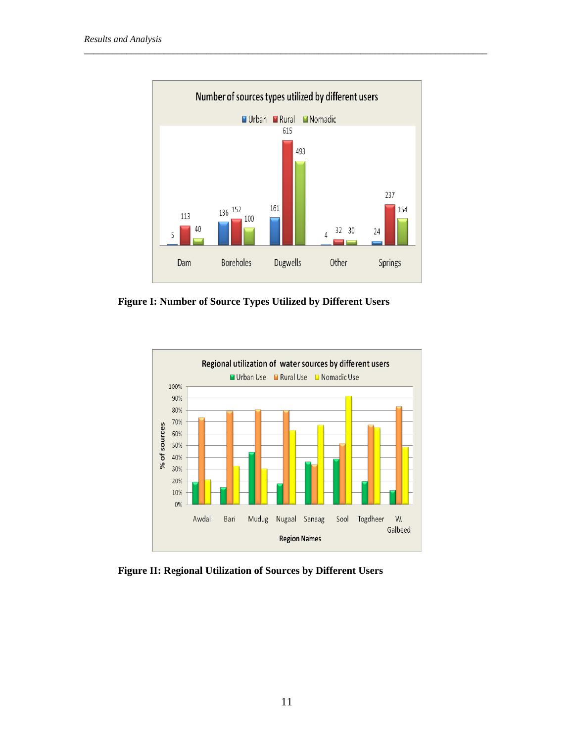

**Figure I: Number of Source Types Utilized by Different Users** 



**Figure II: Regional Utilization of Sources by Different Users**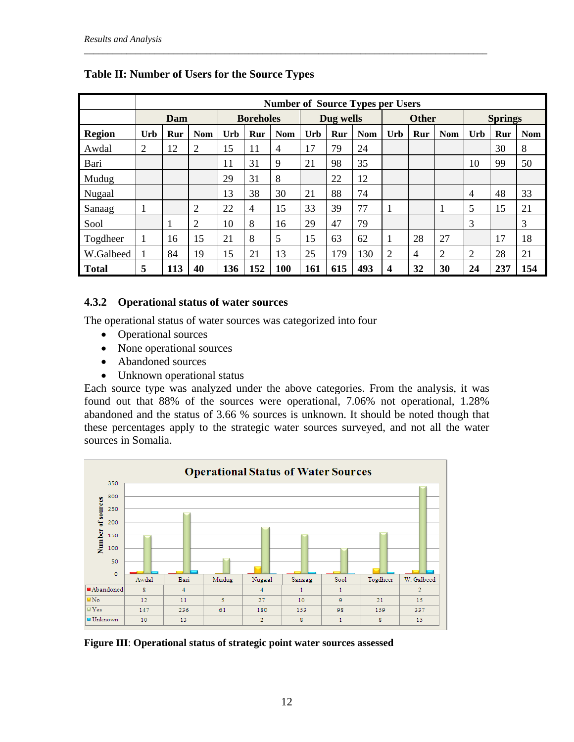|               | <b>Number of Source Types per Users</b> |     |            |                  |                |            |           |     |            |                |     |                |                |     |            |
|---------------|-----------------------------------------|-----|------------|------------------|----------------|------------|-----------|-----|------------|----------------|-----|----------------|----------------|-----|------------|
|               | Dam                                     |     |            | <b>Boreholes</b> |                |            | Dug wells |     |            | <b>Other</b>   |     |                | <b>Springs</b> |     |            |
| <b>Region</b> | Urb                                     | Rur | <b>Nom</b> | Urb              | Rur            | <b>Nom</b> | Urb       | Rur | <b>Nom</b> | Urb            | Rur | <b>Nom</b>     | Urb            | Rur | <b>Nom</b> |
| Awdal         | $\overline{2}$                          | 12  | 2          | 15               | 11             | 4          | 17        | 79  | 24         |                |     |                |                | 30  | 8          |
| Bari          |                                         |     |            | 11               | 31             | 9          | 21        | 98  | 35         |                |     |                | 10             | 99  | 50         |
| Mudug         |                                         |     |            | 29               | 31             | 8          |           | 22  | 12         |                |     |                |                |     |            |
| Nugaal        |                                         |     |            | 13               | 38             | 30         | 21        | 88  | 74         |                |     |                | $\overline{4}$ | 48  | 33         |
| Sanaag        |                                         |     | 2          | 22               | $\overline{4}$ | 15         | 33        | 39  | 77         |                |     |                | 5              | 15  | 21         |
| Sool          |                                         |     | 2          | 10               | 8              | 16         | 29        | 47  | 79         |                |     |                | 3              |     | 3          |
| Togdheer      | 1                                       | 16  | 15         | 21               | 8              | 5          | 15        | 63  | 62         |                | 28  | 27             |                | 17  | 18         |
| W.Galbeed     |                                         | 84  | 19         | 15               | 21             | 13         | 25        | 179 | 130        | $\overline{2}$ | 4   | $\overline{2}$ | $\overline{2}$ | 28  | 21         |
| <b>Total</b>  | 5                                       | 113 | 40         | 136              | 152            | 100        | 161       | 615 | 493        | 4              | 32  | 30             | 24             | 237 | 154        |

## **Table II: Number of Users for the Source Types**

#### **4.3.2 Operational status of water sources**

The operational status of water sources was categorized into four

- Operational sources
- None operational sources
- Abandoned sources
- Unknown operational status

Each source type was analyzed under the above categories. From the analysis, it was found out that 88% of the sources were operational, 7.06% not operational, 1.28% abandoned and the status of 3.66 % sources is unknown. It should be noted though that these percentages apply to the strategic water sources surveyed, and not all the water sources in Somalia.



**Figure III**: **Operational status of strategic point water sources assessed**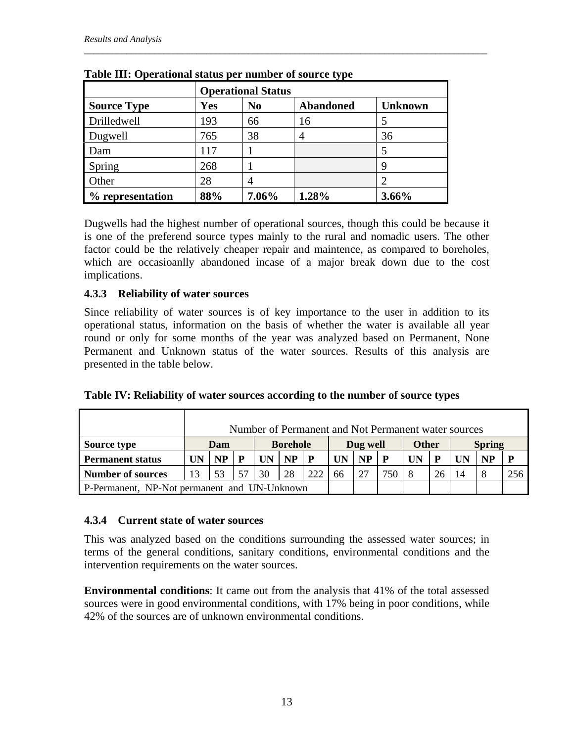|                    | <b>Operational Status</b> |                |                  |                |  |  |  |  |  |
|--------------------|---------------------------|----------------|------------------|----------------|--|--|--|--|--|
| <b>Source Type</b> | <b>Yes</b>                | N <sub>0</sub> | <b>Abandoned</b> | <b>Unknown</b> |  |  |  |  |  |
| Drilledwell        | 193                       | 66             | 16               |                |  |  |  |  |  |
| Dugwell            | 765                       | 38             | 4                | 36             |  |  |  |  |  |
| Dam                | 117                       |                |                  |                |  |  |  |  |  |
| Spring             | 268                       |                |                  | Q              |  |  |  |  |  |
| Other              | 28                        |                |                  |                |  |  |  |  |  |
| % representation   | 88%                       | 7.06%          | 1.28%            | 3.66%          |  |  |  |  |  |

|  |  |  | Table III: Operational status per number of source type |
|--|--|--|---------------------------------------------------------|
|--|--|--|---------------------------------------------------------|

Dugwells had the highest number of operational sources, though this could be because it is one of the preferend source types mainly to the rural and nomadic users. The other factor could be the relatively cheaper repair and maintence, as compared to boreholes, which are occasioanlly abandoned incase of a major break down due to the cost implications.

#### **4.3.3 Reliability of water sources**

Since reliability of water sources is of key importance to the user in addition to its operational status, information on the basis of whether the water is available all year round or only for some months of the year was analyzed based on Permanent, None Permanent and Unknown status of the water sources. Results of this analysis are presented in the table below.

|                                              |    | Number of Permanent and Not Permanent water sources |  |    |           |              |    |              |     |               |    |  |    |     |
|----------------------------------------------|----|-----------------------------------------------------|--|----|-----------|--------------|----|--------------|-----|---------------|----|--|----|-----|
| <b>Source type</b>                           |    | <b>Borehole</b><br>Dam                              |  |    | Dug well  |              |    | <b>Other</b> |     | <b>Spring</b> |    |  |    |     |
| <b>Permanent status</b>                      |    | NP <sub>1</sub>                                     |  |    | <b>NP</b> | $\mathbf{P}$ |    | NP           |     | UN            |    |  | NP | P   |
| <b>Number of sources</b>                     | 13 | 53                                                  |  | 30 | 28        | 222          | 66 | 27           | 750 |               | 26 |  |    | 256 |
| P-Permanent, NP-Not permanent and UN-Unknown |    |                                                     |  |    |           |              |    |              |     |               |    |  |    |     |

**Table IV: Reliability of water sources according to the number of source types** 

## **4.3.4 Current state of water sources**

This was analyzed based on the conditions surrounding the assessed water sources; in terms of the general conditions, sanitary conditions, environmental conditions and the intervention requirements on the water sources.

**Environmental conditions**: It came out from the analysis that 41% of the total assessed sources were in good environmental conditions, with 17% being in poor conditions, while 42% of the sources are of unknown environmental conditions.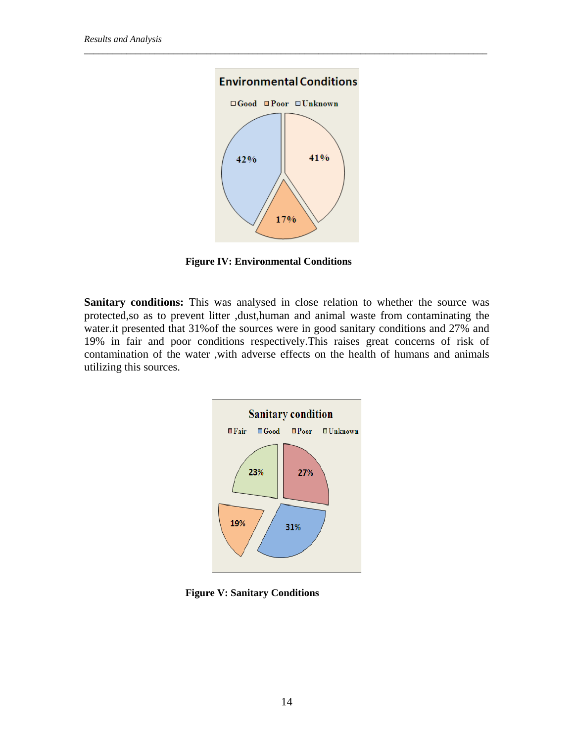

**Figure IV: Environmental Conditions** 

**Sanitary conditions:** This was analysed in close relation to whether the source was protected,so as to prevent litter ,dust,human and animal waste from contaminating the water.it presented that 31%of the sources were in good sanitary conditions and 27% and 19% in fair and poor conditions respectively.This raises great concerns of risk of contamination of the water ,with adverse effects on the health of humans and animals utilizing this sources.



**Figure V: Sanitary Conditions**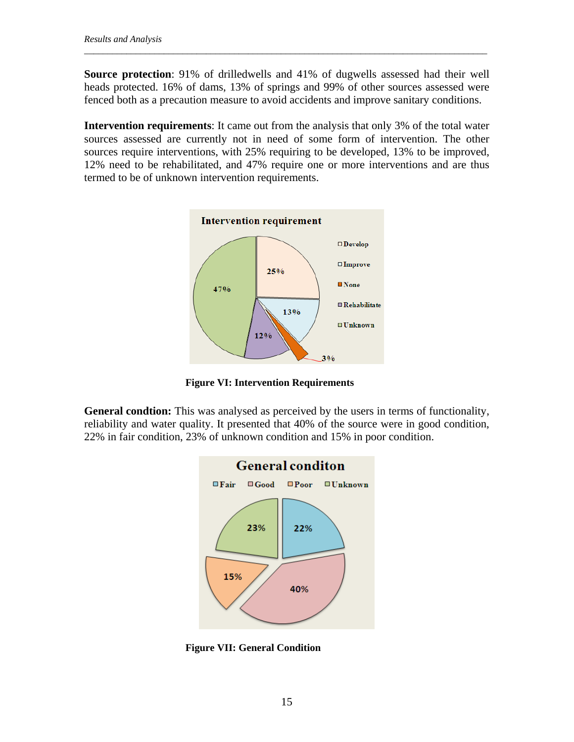**Source protection**: 91% of drilledwells and 41% of dugwells assessed had their well heads protected. 16% of dams, 13% of springs and 99% of other sources assessed were fenced both as a precaution measure to avoid accidents and improve sanitary conditions.

*\_\_\_\_\_\_\_\_\_\_\_\_\_\_\_\_\_\_\_\_\_\_\_\_\_\_\_\_\_\_\_\_\_\_\_\_\_\_\_\_\_\_\_\_\_\_\_\_\_\_\_\_\_\_\_\_\_\_\_\_\_\_\_\_\_\_\_\_\_\_\_\_\_\_\_\_\_\_\_\_\_\_\_\_\_\_* 

**Intervention requirements**: It came out from the analysis that only 3% of the total water sources assessed are currently not in need of some form of intervention. The other sources require interventions, with 25% requiring to be developed, 13% to be improved, 12% need to be rehabilitated, and 47% require one or more interventions and are thus termed to be of unknown intervention requirements.



**Figure VI: Intervention Requirements** 

**General condtion:** This was analysed as perceived by the users in terms of functionality, reliability and water quality. It presented that 40% of the source were in good condition, 22% in fair condition, 23% of unknown condition and 15% in poor condition.



**Figure VII: General Condition**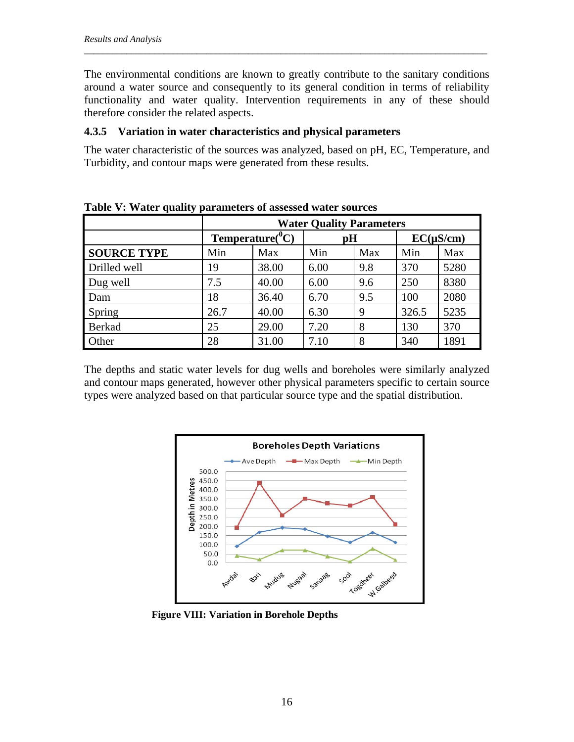The environmental conditions are known to greatly contribute to the sanitary conditions around a water source and consequently to its general condition in terms of reliability functionality and water quality. Intervention requirements in any of these should therefore consider the related aspects.

*\_\_\_\_\_\_\_\_\_\_\_\_\_\_\_\_\_\_\_\_\_\_\_\_\_\_\_\_\_\_\_\_\_\_\_\_\_\_\_\_\_\_\_\_\_\_\_\_\_\_\_\_\_\_\_\_\_\_\_\_\_\_\_\_\_\_\_\_\_\_\_\_\_\_\_\_\_\_\_\_\_\_\_\_\_\_* 

#### **4.3.5 Variation in water characteristics and physical parameters**

The water characteristic of the sources was analyzed, based on pH, EC, Temperature, and Turbidity, and contour maps were generated from these results.

|                    | <b>Water Quality Parameters</b> |                        |      |     |                |      |  |  |
|--------------------|---------------------------------|------------------------|------|-----|----------------|------|--|--|
|                    |                                 | Temperature( ${}^0C$ ) | pH   |     | $EC(\mu S/cm)$ |      |  |  |
| <b>SOURCE TYPE</b> | Min                             | Max                    | Min  | Max | Min            | Max  |  |  |
| Drilled well       | 19                              | 38.00                  | 6.00 | 9.8 | 370            | 5280 |  |  |
| Dug well           | 7.5                             | 40.00                  | 6.00 | 9.6 | 250            | 8380 |  |  |
| Dam                | 18                              | 36.40                  | 6.70 | 9.5 | 100            | 2080 |  |  |
| Spring             | 26.7                            | 40.00                  | 6.30 | 9   | 326.5          | 5235 |  |  |
| Berkad             | 25                              | 29.00                  | 7.20 | 8   | 130            | 370  |  |  |
| Other              | 28                              | 31.00                  | 7.10 | 8   | 340            | 1891 |  |  |

**Table V: Water quality parameters of assessed water sources** 

The depths and static water levels for dug wells and boreholes were similarly analyzed and contour maps generated, however other physical parameters specific to certain source types were analyzed based on that particular source type and the spatial distribution.



**Figure VIII: Variation in Borehole Depths**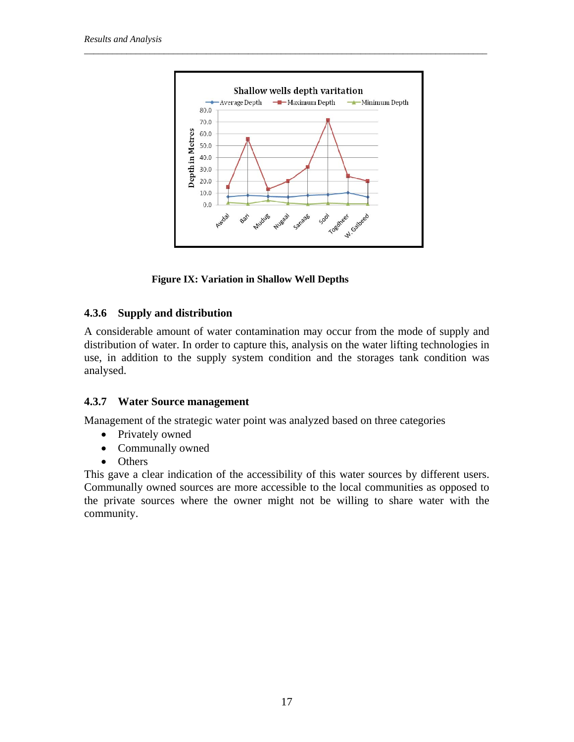

**Figure IX: Variation in Shallow Well Depths** 

## **4.3.6 Supply and distribution**

A considerable amount of water contamination may occur from the mode of supply and distribution of water. In order to capture this, analysis on the water lifting technologies in use, in addition to the supply system condition and the storages tank condition was analysed.

## **4.3.7 Water Source management**

Management of the strategic water point was analyzed based on three categories

- Privately owned
- Communally owned
- Others

This gave a clear indication of the accessibility of this water sources by different users. Communally owned sources are more accessible to the local communities as opposed to the private sources where the owner might not be willing to share water with the community.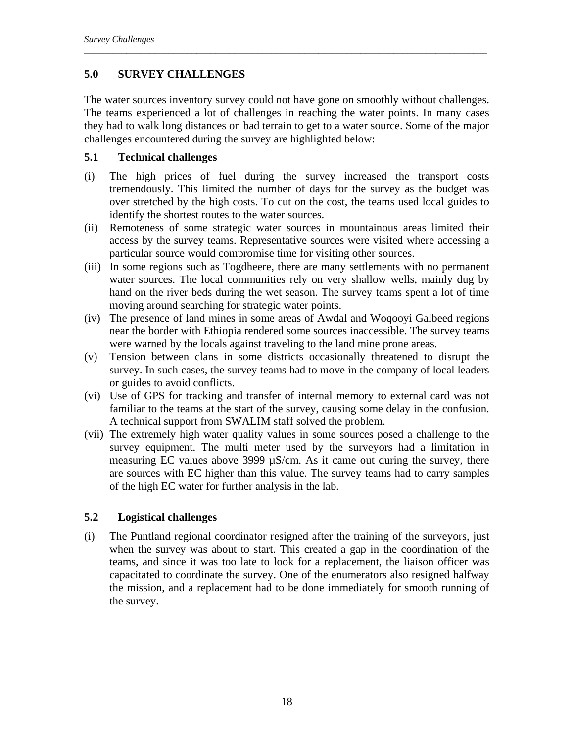## **5.0 SURVEY CHALLENGES**

The water sources inventory survey could not have gone on smoothly without challenges. The teams experienced a lot of challenges in reaching the water points. In many cases they had to walk long distances on bad terrain to get to a water source. Some of the major challenges encountered during the survey are highlighted below:

*\_\_\_\_\_\_\_\_\_\_\_\_\_\_\_\_\_\_\_\_\_\_\_\_\_\_\_\_\_\_\_\_\_\_\_\_\_\_\_\_\_\_\_\_\_\_\_\_\_\_\_\_\_\_\_\_\_\_\_\_\_\_\_\_\_\_\_\_\_\_\_\_\_\_\_\_\_\_\_\_\_\_\_\_\_\_* 

#### **5.1 Technical challenges**

- (i) The high prices of fuel during the survey increased the transport costs tremendously. This limited the number of days for the survey as the budget was over stretched by the high costs. To cut on the cost, the teams used local guides to identify the shortest routes to the water sources.
- (ii) Remoteness of some strategic water sources in mountainous areas limited their access by the survey teams. Representative sources were visited where accessing a particular source would compromise time for visiting other sources.
- (iii) In some regions such as Togdheere, there are many settlements with no permanent water sources. The local communities rely on very shallow wells, mainly dug by hand on the river beds during the wet season. The survey teams spent a lot of time moving around searching for strategic water points.
- (iv) The presence of land mines in some areas of Awdal and Woqooyi Galbeed regions near the border with Ethiopia rendered some sources inaccessible. The survey teams were warned by the locals against traveling to the land mine prone areas.
- (v) Tension between clans in some districts occasionally threatened to disrupt the survey. In such cases, the survey teams had to move in the company of local leaders or guides to avoid conflicts.
- (vi) Use of GPS for tracking and transfer of internal memory to external card was not familiar to the teams at the start of the survey, causing some delay in the confusion. A technical support from SWALIM staff solved the problem.
- (vii) The extremely high water quality values in some sources posed a challenge to the survey equipment. The multi meter used by the surveyors had a limitation in measuring EC values above 3999 µS/cm. As it came out during the survey, there are sources with EC higher than this value. The survey teams had to carry samples of the high EC water for further analysis in the lab.

## **5.2 Logistical challenges**

(i) The Puntland regional coordinator resigned after the training of the surveyors, just when the survey was about to start. This created a gap in the coordination of the teams, and since it was too late to look for a replacement, the liaison officer was capacitated to coordinate the survey. One of the enumerators also resigned halfway the mission, and a replacement had to be done immediately for smooth running of the survey.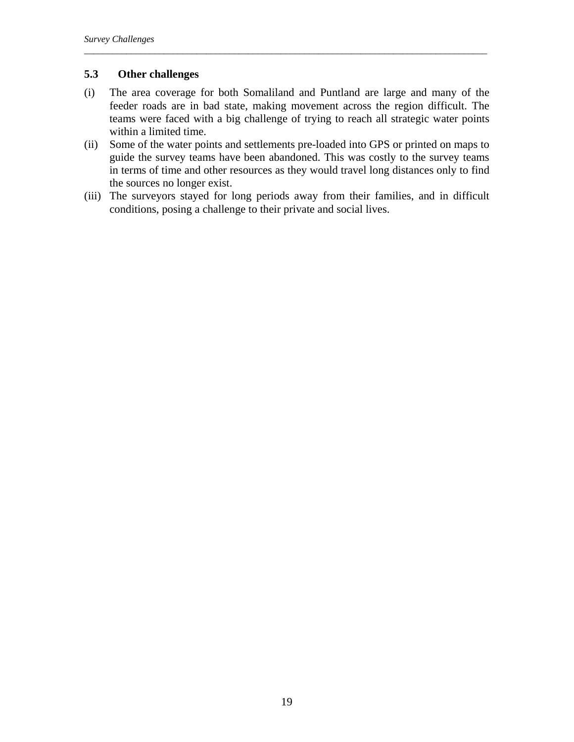## **5.3 Other challenges**

(i) The area coverage for both Somaliland and Puntland are large and many of the feeder roads are in bad state, making movement across the region difficult. The teams were faced with a big challenge of trying to reach all strategic water points within a limited time.

*\_\_\_\_\_\_\_\_\_\_\_\_\_\_\_\_\_\_\_\_\_\_\_\_\_\_\_\_\_\_\_\_\_\_\_\_\_\_\_\_\_\_\_\_\_\_\_\_\_\_\_\_\_\_\_\_\_\_\_\_\_\_\_\_\_\_\_\_\_\_\_\_\_\_\_\_\_\_\_\_\_\_\_\_\_\_* 

- (ii) Some of the water points and settlements pre-loaded into GPS or printed on maps to guide the survey teams have been abandoned. This was costly to the survey teams in terms of time and other resources as they would travel long distances only to find the sources no longer exist.
- (iii) The surveyors stayed for long periods away from their families, and in difficult conditions, posing a challenge to their private and social lives.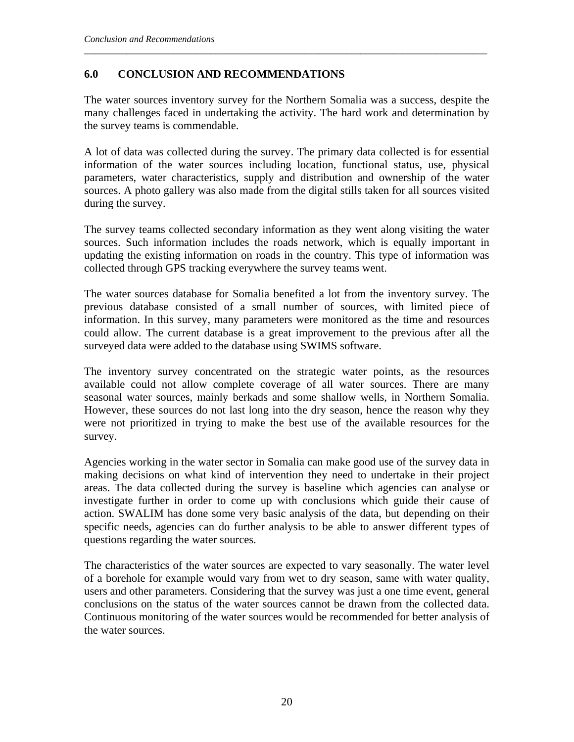## **6.0 CONCLUSION AND RECOMMENDATIONS**

The water sources inventory survey for the Northern Somalia was a success, despite the many challenges faced in undertaking the activity. The hard work and determination by the survey teams is commendable.

*\_\_\_\_\_\_\_\_\_\_\_\_\_\_\_\_\_\_\_\_\_\_\_\_\_\_\_\_\_\_\_\_\_\_\_\_\_\_\_\_\_\_\_\_\_\_\_\_\_\_\_\_\_\_\_\_\_\_\_\_\_\_\_\_\_\_\_\_\_\_\_\_\_\_\_\_\_\_\_\_\_\_\_\_\_\_* 

A lot of data was collected during the survey. The primary data collected is for essential information of the water sources including location, functional status, use, physical parameters, water characteristics, supply and distribution and ownership of the water sources. A photo gallery was also made from the digital stills taken for all sources visited during the survey.

The survey teams collected secondary information as they went along visiting the water sources. Such information includes the roads network, which is equally important in updating the existing information on roads in the country. This type of information was collected through GPS tracking everywhere the survey teams went.

The water sources database for Somalia benefited a lot from the inventory survey. The previous database consisted of a small number of sources, with limited piece of information. In this survey, many parameters were monitored as the time and resources could allow. The current database is a great improvement to the previous after all the surveyed data were added to the database using SWIMS software.

The inventory survey concentrated on the strategic water points, as the resources available could not allow complete coverage of all water sources. There are many seasonal water sources, mainly berkads and some shallow wells, in Northern Somalia. However, these sources do not last long into the dry season, hence the reason why they were not prioritized in trying to make the best use of the available resources for the survey.

Agencies working in the water sector in Somalia can make good use of the survey data in making decisions on what kind of intervention they need to undertake in their project areas. The data collected during the survey is baseline which agencies can analyse or investigate further in order to come up with conclusions which guide their cause of action. SWALIM has done some very basic analysis of the data, but depending on their specific needs, agencies can do further analysis to be able to answer different types of questions regarding the water sources.

The characteristics of the water sources are expected to vary seasonally. The water level of a borehole for example would vary from wet to dry season, same with water quality, users and other parameters. Considering that the survey was just a one time event, general conclusions on the status of the water sources cannot be drawn from the collected data. Continuous monitoring of the water sources would be recommended for better analysis of the water sources.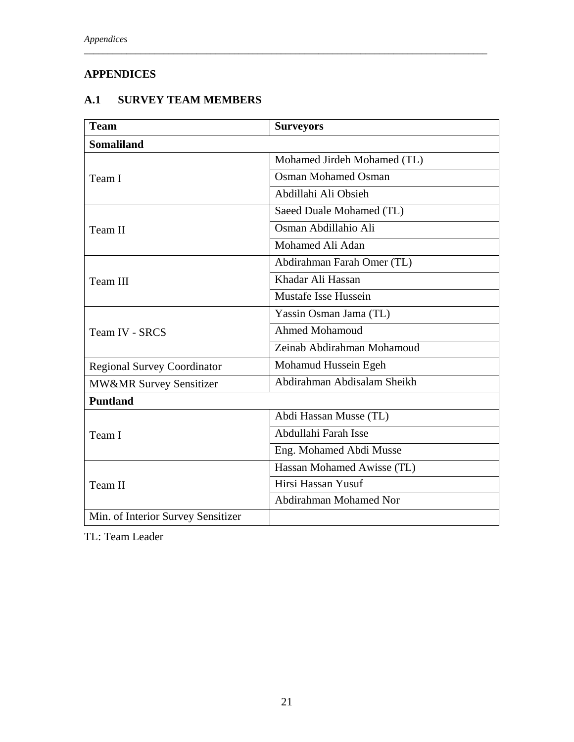# **APPENDICES**

# **A.1 SURVEY TEAM MEMBERS**

| <b>Team</b>                        | <b>Surveyors</b>            |
|------------------------------------|-----------------------------|
| <b>Somaliland</b>                  |                             |
|                                    | Mohamed Jirdeh Mohamed (TL) |
| Team I                             | <b>Osman Mohamed Osman</b>  |
|                                    | Abdillahi Ali Obsieh        |
|                                    | Saeed Duale Mohamed (TL)    |
| Team II                            | Osman Abdillahio Ali        |
|                                    | Mohamed Ali Adan            |
|                                    | Abdirahman Farah Omer (TL)  |
| Team III                           | Khadar Ali Hassan           |
|                                    | Mustafe Isse Hussein        |
|                                    | Yassin Osman Jama (TL)      |
| <b>Team IV - SRCS</b>              | <b>Ahmed Mohamoud</b>       |
|                                    | Zeinab Abdirahman Mohamoud  |
| <b>Regional Survey Coordinator</b> | Mohamud Hussein Egeh        |
| MW&MR Survey Sensitizer            | Abdirahman Abdisalam Sheikh |
| <b>Puntland</b>                    |                             |
|                                    | Abdi Hassan Musse (TL)      |
| Team I                             | Abdullahi Farah Isse        |
|                                    | Eng. Mohamed Abdi Musse     |
|                                    | Hassan Mohamed Awisse (TL)  |
| Team II                            | Hirsi Hassan Yusuf          |
|                                    | Abdirahman Mohamed Nor      |
| Min. of Interior Survey Sensitizer |                             |

*\_\_\_\_\_\_\_\_\_\_\_\_\_\_\_\_\_\_\_\_\_\_\_\_\_\_\_\_\_\_\_\_\_\_\_\_\_\_\_\_\_\_\_\_\_\_\_\_\_\_\_\_\_\_\_\_\_\_\_\_\_\_\_\_\_\_\_\_\_\_\_\_\_\_\_\_\_\_\_\_\_\_\_\_\_\_* 

TL: Team Leader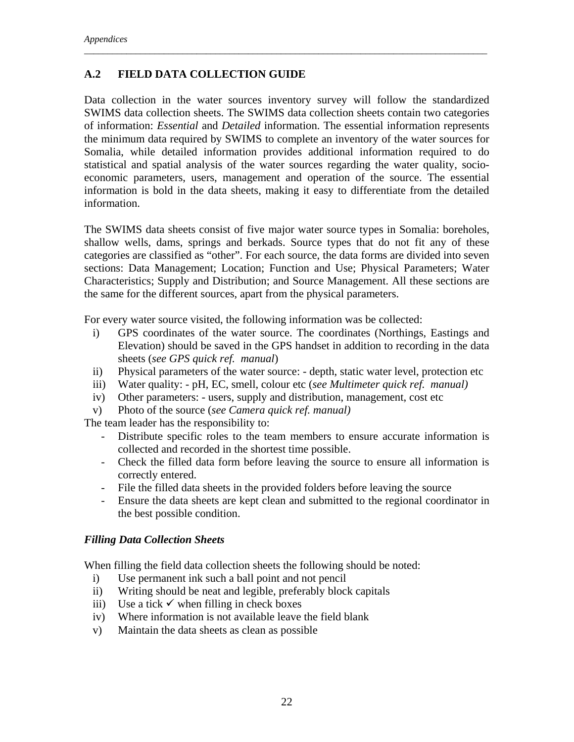## **A.2 FIELD DATA COLLECTION GUIDE**

Data collection in the water sources inventory survey will follow the standardized SWIMS data collection sheets. The SWIMS data collection sheets contain two categories of information: *Essential* and *Detailed* information. The essential information represents the minimum data required by SWIMS to complete an inventory of the water sources for Somalia, while detailed information provides additional information required to do statistical and spatial analysis of the water sources regarding the water quality, socioeconomic parameters, users, management and operation of the source. The essential information is bold in the data sheets, making it easy to differentiate from the detailed information.

*\_\_\_\_\_\_\_\_\_\_\_\_\_\_\_\_\_\_\_\_\_\_\_\_\_\_\_\_\_\_\_\_\_\_\_\_\_\_\_\_\_\_\_\_\_\_\_\_\_\_\_\_\_\_\_\_\_\_\_\_\_\_\_\_\_\_\_\_\_\_\_\_\_\_\_\_\_\_\_\_\_\_\_\_\_\_* 

The SWIMS data sheets consist of five major water source types in Somalia: boreholes, shallow wells, dams, springs and berkads. Source types that do not fit any of these categories are classified as "other". For each source, the data forms are divided into seven sections: Data Management; Location; Function and Use; Physical Parameters; Water Characteristics; Supply and Distribution; and Source Management. All these sections are the same for the different sources, apart from the physical parameters.

For every water source visited, the following information was be collected:

- i) GPS coordinates of the water source. The coordinates (Northings, Eastings and Elevation) should be saved in the GPS handset in addition to recording in the data sheets (*see GPS quick ref. manual*)
- ii) Physical parameters of the water source: depth, static water level, protection etc
- iii) Water quality: pH, EC, smell, colour etc (*see Multimeter quick ref. manual)*
- iv) Other parameters: users, supply and distribution, management, cost etc
- v) Photo of the source (*see Camera quick ref. manual)*

The team leader has the responsibility to:

- Distribute specific roles to the team members to ensure accurate information is collected and recorded in the shortest time possible.
- Check the filled data form before leaving the source to ensure all information is correctly entered.
- File the filled data sheets in the provided folders before leaving the source
- Ensure the data sheets are kept clean and submitted to the regional coordinator in the best possible condition.

## *Filling Data Collection Sheets*

When filling the field data collection sheets the following should be noted:

- i) Use permanent ink such a ball point and not pencil
- ii) Writing should be neat and legible, preferably block capitals
- iii) Use a tick  $\checkmark$  when filling in check boxes
- iv) Where information is not available leave the field blank
- v) Maintain the data sheets as clean as possible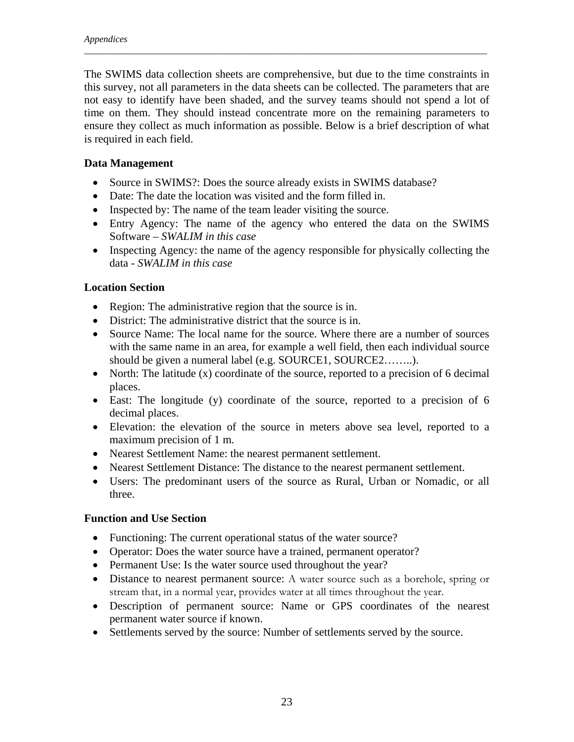The SWIMS data collection sheets are comprehensive, but due to the time constraints in this survey, not all parameters in the data sheets can be collected. The parameters that are not easy to identify have been shaded, and the survey teams should not spend a lot of time on them. They should instead concentrate more on the remaining parameters to ensure they collect as much information as possible. Below is a brief description of what is required in each field.

*\_\_\_\_\_\_\_\_\_\_\_\_\_\_\_\_\_\_\_\_\_\_\_\_\_\_\_\_\_\_\_\_\_\_\_\_\_\_\_\_\_\_\_\_\_\_\_\_\_\_\_\_\_\_\_\_\_\_\_\_\_\_\_\_\_\_\_\_\_\_\_\_\_\_\_\_\_\_\_\_\_\_\_\_\_\_* 

## **Data Management**

- Source in SWIMS?: Does the source already exists in SWIMS database?
- Date: The date the location was visited and the form filled in.
- Inspected by: The name of the team leader visiting the source.
- Entry Agency: The name of the agency who entered the data on the SWIMS Software – *SWALIM in this case*
- Inspecting Agency: the name of the agency responsible for physically collecting the data - *SWALIM in this case*

## **Location Section**

- Region: The administrative region that the source is in.
- District: The administrative district that the source is in.
- Source Name: The local name for the source. Where there are a number of sources with the same name in an area, for example a well field, then each individual source should be given a numeral label (e.g. SOURCE1, SOURCE2……..).
- North: The latitude (x) coordinate of the source, reported to a precision of 6 decimal places.
- East: The longitude (y) coordinate of the source, reported to a precision of 6 decimal places.
- Elevation: the elevation of the source in meters above sea level, reported to a maximum precision of 1 m.
- Nearest Settlement Name: the nearest permanent settlement.
- Nearest Settlement Distance: The distance to the nearest permanent settlement.
- Users: The predominant users of the source as Rural, Urban or Nomadic, or all three.

## **Function and Use Section**

- Functioning: The current operational status of the water source?
- Operator: Does the water source have a trained, permanent operator?
- Permanent Use: Is the water source used throughout the year?
- Distance to nearest permanent source: A water source such as a borehole, spring or stream that, in a normal year, provides water at all times throughout the year.
- Description of permanent source: Name or GPS coordinates of the nearest permanent water source if known.
- Settlements served by the source: Number of settlements served by the source.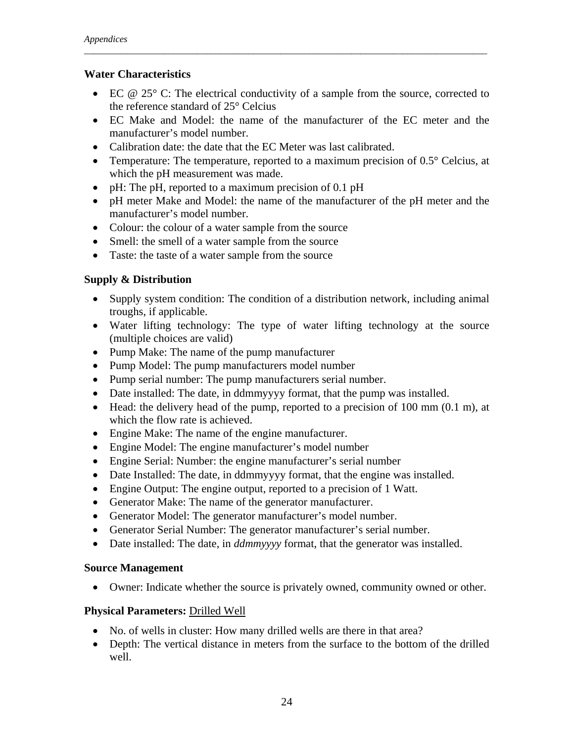#### **Water Characteristics**

• EC  $\omega$  25° C: The electrical conductivity of a sample from the source, corrected to the reference standard of 25° Celcius

*\_\_\_\_\_\_\_\_\_\_\_\_\_\_\_\_\_\_\_\_\_\_\_\_\_\_\_\_\_\_\_\_\_\_\_\_\_\_\_\_\_\_\_\_\_\_\_\_\_\_\_\_\_\_\_\_\_\_\_\_\_\_\_\_\_\_\_\_\_\_\_\_\_\_\_\_\_\_\_\_\_\_\_\_\_\_* 

- EC Make and Model: the name of the manufacturer of the EC meter and the manufacturer's model number.
- Calibration date: the date that the EC Meter was last calibrated.
- Temperature: The temperature, reported to a maximum precision of 0.5° Celcius, at which the pH measurement was made.
- pH: The pH, reported to a maximum precision of 0.1 pH
- pH meter Make and Model: the name of the manufacturer of the pH meter and the manufacturer's model number.
- Colour: the colour of a water sample from the source
- Smell: the smell of a water sample from the source
- Taste: the taste of a water sample from the source

## **Supply & Distribution**

- Supply system condition: The condition of a distribution network, including animal troughs, if applicable.
- Water lifting technology: The type of water lifting technology at the source (multiple choices are valid)
- Pump Make: The name of the pump manufacturer
- Pump Model: The pump manufacturers model number
- Pump serial number: The pump manufacturers serial number.
- Date installed: The date, in ddmmyyyy format, that the pump was installed.
- Head: the delivery head of the pump, reported to a precision of 100 mm (0.1 m), at which the flow rate is achieved.
- Engine Make: The name of the engine manufacturer.
- Engine Model: The engine manufacturer's model number
- Engine Serial: Number: the engine manufacturer's serial number
- Date Installed: The date, in ddmmyyyy format, that the engine was installed.
- Engine Output: The engine output, reported to a precision of 1 Watt.
- Generator Make: The name of the generator manufacturer.
- Generator Model: The generator manufacturer's model number.
- Generator Serial Number: The generator manufacturer's serial number.
- Date installed: The date, in *ddmmyyyy* format, that the generator was installed.

## **Source Management**

• Owner: Indicate whether the source is privately owned, community owned or other.

## **Physical Parameters:** Drilled Well

- No. of wells in cluster: How many drilled wells are there in that area?
- Depth: The vertical distance in meters from the surface to the bottom of the drilled well.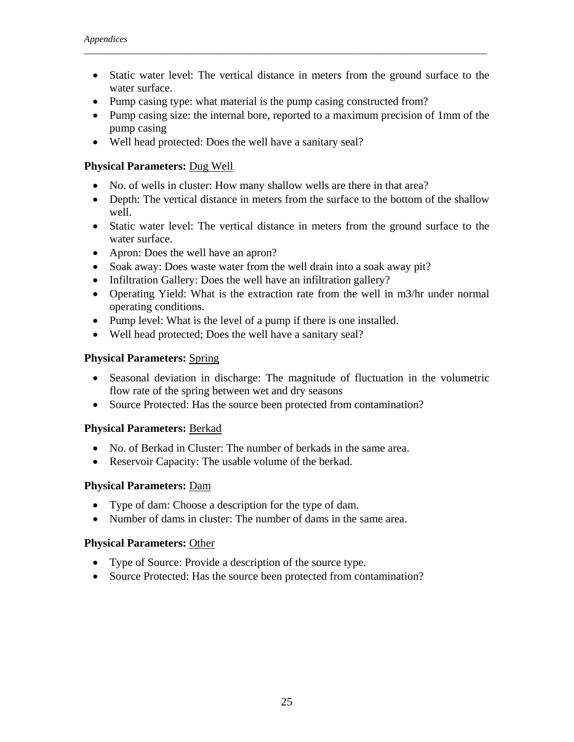• Static water level: The vertical distance in meters from the ground surface to the water surface.

*\_\_\_\_\_\_\_\_\_\_\_\_\_\_\_\_\_\_\_\_\_\_\_\_\_\_\_\_\_\_\_\_\_\_\_\_\_\_\_\_\_\_\_\_\_\_\_\_\_\_\_\_\_\_\_\_\_\_\_\_\_\_\_\_\_\_\_\_\_\_\_\_\_\_\_\_\_\_\_\_\_\_\_\_\_\_* 

- Pump casing type: what material is the pump casing constructed from?
- Pump casing size: the internal bore, reported to a maximum precision of 1mm of the pump casing
- Well head protected: Does the well have a sanitary seal?

#### **Physical Parameters:** Dug Well

- No. of wells in cluster: How many shallow wells are there in that area?
- Depth: The vertical distance in meters from the surface to the bottom of the shallow well.
- Static water level: The vertical distance in meters from the ground surface to the water surface.
- Apron: Does the well have an apron?
- Soak away: Does waste water from the well drain into a soak away pit?
- Infiltration Gallery: Does the well have an infiltration gallery?
- Operating Yield: What is the extraction rate from the well in m3/hr under normal operating conditions.
- Pump level: What is the level of a pump if there is one installed.
- Well head protected; Does the well have a sanitary seal?

#### **Physical Parameters:** Spring

- Seasonal deviation in discharge: The magnitude of fluctuation in the volumetric flow rate of the spring between wet and dry seasons
- Source Protected: Has the source been protected from contamination?

#### **Physical Parameters:** Berkad

- No. of Berkad in Cluster: The number of berkads in the same area.
- Reservoir Capacity: The usable volume of the berkad.

#### **Physical Parameters:** Dam

- Type of dam: Choose a description for the type of dam.
- Number of dams in cluster: The number of dams in the same area.

#### **Physical Parameters:** Other

- Type of Source: Provide a description of the source type.
- Source Protected: Has the source been protected from contamination?